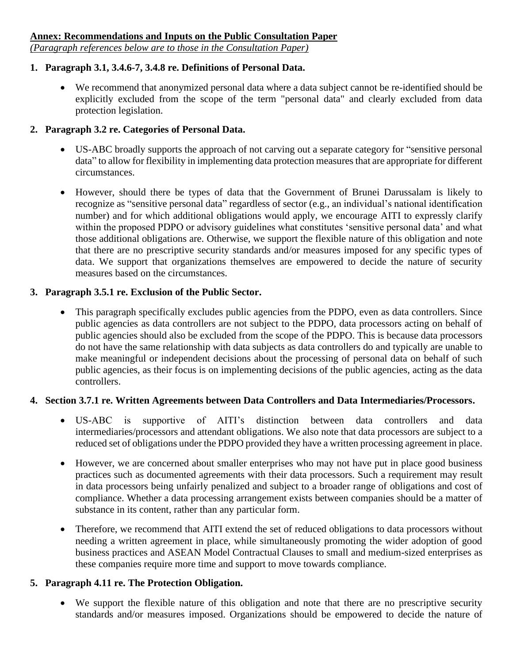*(Paragraph references below are to those in the Consultation Paper)*

### **1. Paragraph 3.1, 3.4.6-7, 3.4.8 re. Definitions of Personal Data.**

• We recommend that anonymized personal data where a data subject cannot be re-identified should be explicitly excluded from the scope of the term "personal data" and clearly excluded from data protection legislation.

#### **2. Paragraph 3.2 re. Categories of Personal Data.**

- US-ABC broadly supports the approach of not carving out a separate category for "sensitive personal data" to allow for flexibility in implementing data protection measures that are appropriate for different circumstances.
- However, should there be types of data that the Government of Brunei Darussalam is likely to recognize as "sensitive personal data" regardless of sector (e.g., an individual's national identification number) and for which additional obligations would apply, we encourage AITI to expressly clarify within the proposed PDPO or advisory guidelines what constitutes 'sensitive personal data' and what those additional obligations are. Otherwise, we support the flexible nature of this obligation and note that there are no prescriptive security standards and/or measures imposed for any specific types of data. We support that organizations themselves are empowered to decide the nature of security measures based on the circumstances.

### **3. Paragraph 3.5.1 re. Exclusion of the Public Sector.**

This paragraph specifically excludes public agencies from the PDPO, even as data controllers. Since public agencies as data controllers are not subject to the PDPO, data processors acting on behalf of public agencies should also be excluded from the scope of the PDPO. This is because data processors do not have the same relationship with data subjects as data controllers do and typically are unable to make meaningful or independent decisions about the processing of personal data on behalf of such public agencies, as their focus is on implementing decisions of the public agencies, acting as the data controllers.

# **4. Section 3.7.1 re. Written Agreements between Data Controllers and Data Intermediaries/Processors.**

- US-ABC is supportive of AITI's distinction between data controllers and data intermediaries/processors and attendant obligations. We also note that data processors are subject to a reduced set of obligations under the PDPO provided they have a written processing agreement in place.
- However, we are concerned about smaller enterprises who may not have put in place good business practices such as documented agreements with their data processors. Such a requirement may result in data processors being unfairly penalized and subject to a broader range of obligations and cost of compliance. Whether a data processing arrangement exists between companies should be a matter of substance in its content, rather than any particular form.
- Therefore, we recommend that AITI extend the set of reduced obligations to data processors without needing a written agreement in place, while simultaneously promoting the wider adoption of good business practices and ASEAN Model Contractual Clauses to small and medium-sized enterprises as these companies require more time and support to move towards compliance.

# **5. Paragraph 4.11 re. The Protection Obligation.**

• We support the flexible nature of this obligation and note that there are no prescriptive security standards and/or measures imposed. Organizations should be empowered to decide the nature of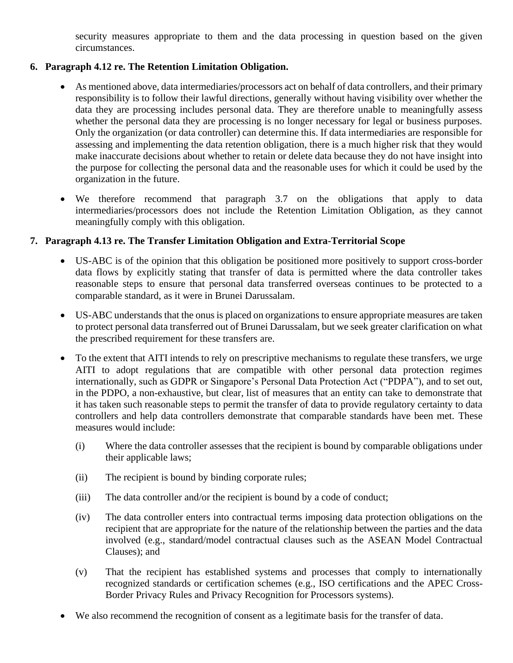security measures appropriate to them and the data processing in question based on the given circumstances.

### **6. Paragraph 4.12 re. The Retention Limitation Obligation.**

- As mentioned above, data intermediaries/processors act on behalf of data controllers, and their primary responsibility is to follow their lawful directions, generally without having visibility over whether the data they are processing includes personal data. They are therefore unable to meaningfully assess whether the personal data they are processing is no longer necessary for legal or business purposes. Only the organization (or data controller) can determine this. If data intermediaries are responsible for assessing and implementing the data retention obligation, there is a much higher risk that they would make inaccurate decisions about whether to retain or delete data because they do not have insight into the purpose for collecting the personal data and the reasonable uses for which it could be used by the organization in the future.
- We therefore recommend that paragraph 3.7 on the obligations that apply to data intermediaries/processors does not include the Retention Limitation Obligation, as they cannot meaningfully comply with this obligation.

### **7. Paragraph 4.13 re. The Transfer Limitation Obligation and Extra-Territorial Scope**

- US-ABC is of the opinion that this obligation be positioned more positively to support cross-border data flows by explicitly stating that transfer of data is permitted where the data controller takes reasonable steps to ensure that personal data transferred overseas continues to be protected to a comparable standard, as it were in Brunei Darussalam.
- US-ABC understands that the onus is placed on organizations to ensure appropriate measures are taken to protect personal data transferred out of Brunei Darussalam, but we seek greater clarification on what the prescribed requirement for these transfers are.
- To the extent that AITI intends to rely on prescriptive mechanisms to regulate these transfers, we urge AITI to adopt regulations that are compatible with other personal data protection regimes internationally, such as GDPR or Singapore's Personal Data Protection Act ("PDPA"), and to set out, in the PDPO, a non-exhaustive, but clear, list of measures that an entity can take to demonstrate that it has taken such reasonable steps to permit the transfer of data to provide regulatory certainty to data controllers and help data controllers demonstrate that comparable standards have been met. These measures would include:
	- (i) Where the data controller assesses that the recipient is bound by comparable obligations under their applicable laws;
	- (ii) The recipient is bound by binding corporate rules;
	- (iii) The data controller and/or the recipient is bound by a code of conduct;
	- (iv) The data controller enters into contractual terms imposing data protection obligations on the recipient that are appropriate for the nature of the relationship between the parties and the data involved (e.g., standard/model contractual clauses such as the ASEAN Model Contractual Clauses); and
	- (v) That the recipient has established systems and processes that comply to internationally recognized standards or certification schemes (e.g., ISO certifications and the APEC Cross-Border Privacy Rules and Privacy Recognition for Processors systems).
- We also recommend the recognition of consent as a legitimate basis for the transfer of data.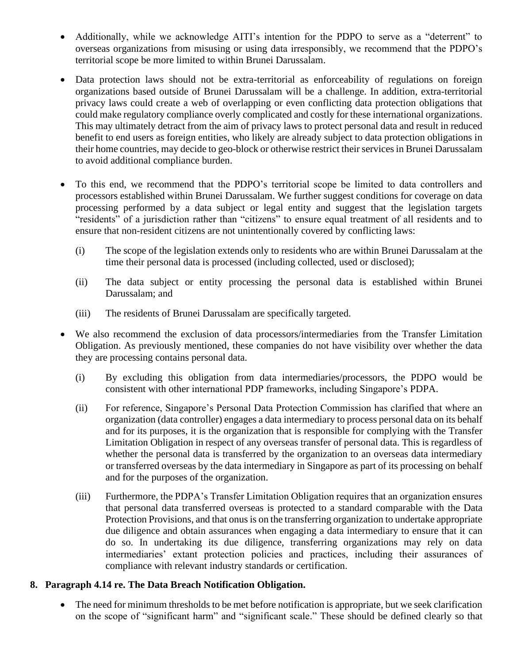- Additionally, while we acknowledge AITI's intention for the PDPO to serve as a "deterrent" to overseas organizations from misusing or using data irresponsibly, we recommend that the PDPO's territorial scope be more limited to within Brunei Darussalam.
- Data protection laws should not be extra-territorial as enforceability of regulations on foreign organizations based outside of Brunei Darussalam will be a challenge. In addition, extra-territorial privacy laws could create a web of overlapping or even conflicting data protection obligations that could make regulatory compliance overly complicated and costly for these international organizations. This may ultimately detract from the aim of privacy laws to protect personal data and result in reduced benefit to end users as foreign entities, who likely are already subject to data protection obligations in their home countries, may decide to geo-block or otherwise restrict their services in Brunei Darussalam to avoid additional compliance burden.
- To this end, we recommend that the PDPO's territorial scope be limited to data controllers and processors established within Brunei Darussalam. We further suggest conditions for coverage on data processing performed by a data subject or legal entity and suggest that the legislation targets "residents" of a jurisdiction rather than "citizens" to ensure equal treatment of all residents and to ensure that non-resident citizens are not unintentionally covered by conflicting laws:
	- (i) The scope of the legislation extends only to residents who are within Brunei Darussalam at the time their personal data is processed (including collected, used or disclosed);
	- (ii) The data subject or entity processing the personal data is established within Brunei Darussalam; and
	- (iii) The residents of Brunei Darussalam are specifically targeted.
- We also recommend the exclusion of data processors/intermediaries from the Transfer Limitation Obligation. As previously mentioned, these companies do not have visibility over whether the data they are processing contains personal data.
	- (i) By excluding this obligation from data intermediaries/processors, the PDPO would be consistent with other international PDP frameworks, including Singapore's PDPA.
	- (ii) For reference, Singapore's Personal Data Protection Commission has clarified that where an organization (data controller) engages a data intermediary to process personal data on its behalf and for its purposes, it is the organization that is responsible for complying with the Transfer Limitation Obligation in respect of any overseas transfer of personal data. This is regardless of whether the personal data is transferred by the organization to an overseas data intermediary or transferred overseas by the data intermediary in Singapore as part of its processing on behalf and for the purposes of the organization.
	- (iii) Furthermore, the PDPA's Transfer Limitation Obligation requires that an organization ensures that personal data transferred overseas is protected to a standard comparable with the Data Protection Provisions, and that onus is on the transferring organization to undertake appropriate due diligence and obtain assurances when engaging a data intermediary to ensure that it can do so. In undertaking its due diligence, transferring organizations may rely on data intermediaries' extant protection policies and practices, including their assurances of compliance with relevant industry standards or certification.

#### **8. Paragraph 4.14 re. The Data Breach Notification Obligation.**

• The need for minimum thresholds to be met before notification is appropriate, but we seek clarification on the scope of "significant harm" and "significant scale." These should be defined clearly so that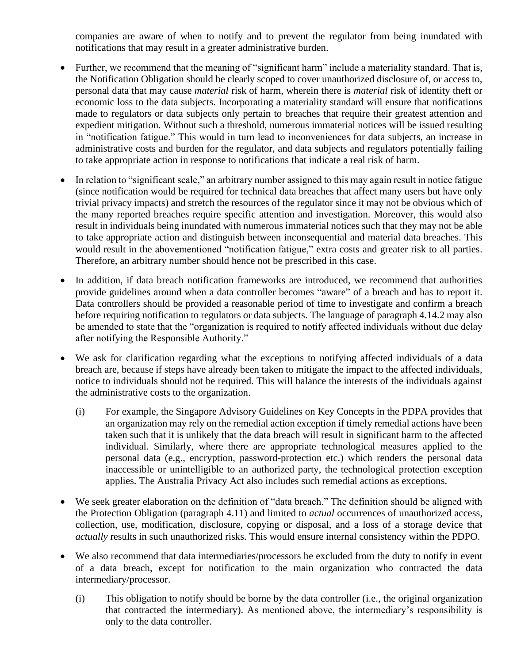companies are aware of when to notify and to prevent the regulator from being inundated with notifications that may result in a greater administrative burden.

- Further, we recommend that the meaning of "significant harm" include a materiality standard. That is, the Notification Obligation should be clearly scoped to cover unauthorized disclosure of, or access to, personal data that may cause *material* risk of harm, wherein there is *material* risk of identity theft or economic loss to the data subjects. Incorporating a materiality standard will ensure that notifications made to regulators or data subjects only pertain to breaches that require their greatest attention and expedient mitigation. Without such a threshold, numerous immaterial notices will be issued resulting in "notification fatigue." This would in turn lead to inconveniences for data subjects, an increase in administrative costs and burden for the regulator, and data subjects and regulators potentially failing to take appropriate action in response to notifications that indicate a real risk of harm.
- In relation to "significant scale," an arbitrary number assigned to this may again result in notice fatigue (since notification would be required for technical data breaches that affect many users but have only trivial privacy impacts) and stretch the resources of the regulator since it may not be obvious which of the many reported breaches require specific attention and investigation. Moreover, this would also result in individuals being inundated with numerous immaterial notices such that they may not be able to take appropriate action and distinguish between inconsequential and material data breaches. This would result in the abovementioned "notification fatigue," extra costs and greater risk to all parties. Therefore, an arbitrary number should hence not be prescribed in this case.
- In addition, if data breach notification frameworks are introduced, we recommend that authorities provide guidelines around when a data controller becomes "aware" of a breach and has to report it. Data controllers should be provided a reasonable period of time to investigate and confirm a breach before requiring notification to regulators or data subjects. The language of paragraph 4.14.2 may also be amended to state that the "organization is required to notify affected individuals without due delay after notifying the Responsible Authority."
- We ask for clarification regarding what the exceptions to notifying affected individuals of a data breach are, because if steps have already been taken to mitigate the impact to the affected individuals, notice to individuals should not be required. This will balance the interests of the individuals against the administrative costs to the organization.
	- (i) For example, the Singapore Advisory Guidelines on Key Concepts in the PDPA provides that an organization may rely on the remedial action exception if timely remedial actions have been taken such that it is unlikely that the data breach will result in significant harm to the affected individual. Similarly, where there are appropriate technological measures applied to the personal data (e.g., encryption, password-protection etc.) which renders the personal data inaccessible or unintelligible to an authorized party, the technological protection exception applies. The Australia Privacy Act also includes such remedial actions as exceptions.
- We seek greater elaboration on the definition of "data breach." The definition should be aligned with the Protection Obligation (paragraph 4.11) and limited to *actual* occurrences of unauthorized access, collection, use, modification, disclosure, copying or disposal, and a loss of a storage device that *actually* results in such unauthorized risks. This would ensure internal consistency within the PDPO.
- We also recommend that data intermediaries/processors be excluded from the duty to notify in event of a data breach, except for notification to the main organization who contracted the data intermediary/processor.
	- (i) This obligation to notify should be borne by the data controller (i.e., the original organization that contracted the intermediary). As mentioned above, the intermediary's responsibility is only to the data controller.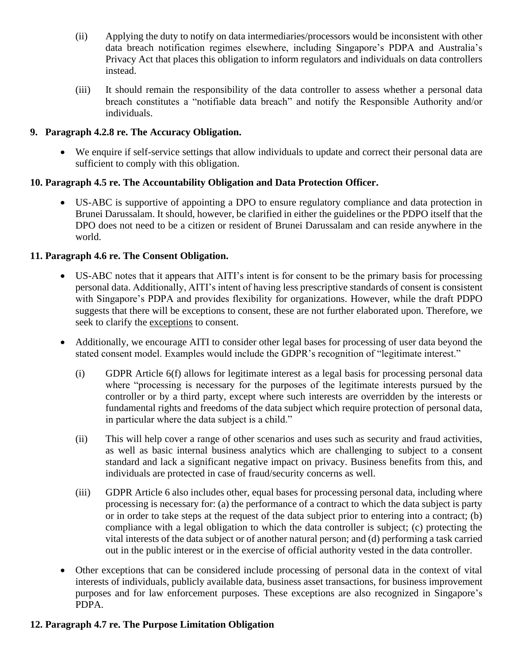- (ii) Applying the duty to notify on data intermediaries/processors would be inconsistent with other data breach notification regimes elsewhere, including Singapore's PDPA and Australia's Privacy Act that places this obligation to inform regulators and individuals on data controllers instead.
- (iii) It should remain the responsibility of the data controller to assess whether a personal data breach constitutes a "notifiable data breach" and notify the Responsible Authority and/or individuals.

## **9. Paragraph 4.2.8 re. The Accuracy Obligation.**

• We enquire if self-service settings that allow individuals to update and correct their personal data are sufficient to comply with this obligation.

### **10. Paragraph 4.5 re. The Accountability Obligation and Data Protection Officer.**

• US-ABC is supportive of appointing a DPO to ensure regulatory compliance and data protection in Brunei Darussalam. It should, however, be clarified in either the guidelines or the PDPO itself that the DPO does not need to be a citizen or resident of Brunei Darussalam and can reside anywhere in the world.

#### **11. Paragraph 4.6 re. The Consent Obligation.**

- US-ABC notes that it appears that AITI's intent is for consent to be the primary basis for processing personal data. Additionally, AITI's intent of having less prescriptive standards of consent is consistent with Singapore's PDPA and provides flexibility for organizations. However, while the draft PDPO suggests that there will be exceptions to consent, these are not further elaborated upon. Therefore, we seek to clarify the exceptions to consent.
- Additionally, we encourage AITI to consider other legal bases for processing of user data beyond the stated consent model. Examples would include the GDPR's recognition of "legitimate interest."
	- (i) GDPR Article 6(f) allows for legitimate interest as a legal basis for processing personal data where "processing is necessary for the purposes of the legitimate interests pursued by the controller or by a third party, except where such interests are overridden by the interests or fundamental rights and freedoms of the data subject which require protection of personal data, in particular where the data subject is a child."
	- (ii) This will help cover a range of other scenarios and uses such as security and fraud activities, as well as basic internal business analytics which are challenging to subject to a consent standard and lack a significant negative impact on privacy. Business benefits from this, and individuals are protected in case of fraud/security concerns as well.
	- (iii) GDPR Article 6 also includes other, equal bases for processing personal data, including where processing is necessary for: (a) the performance of a contract to which the data subject is party or in order to take steps at the request of the data subject prior to entering into a contract; (b) compliance with a legal obligation to which the data controller is subject; (c) protecting the vital interests of the data subject or of another natural person; and (d) performing a task carried out in the public interest or in the exercise of official authority vested in the data controller.
- Other exceptions that can be considered include processing of personal data in the context of vital interests of individuals, publicly available data, business asset transactions, for business improvement purposes and for law enforcement purposes. These exceptions are also recognized in Singapore's PDPA.

# **12. Paragraph 4.7 re. The Purpose Limitation Obligation**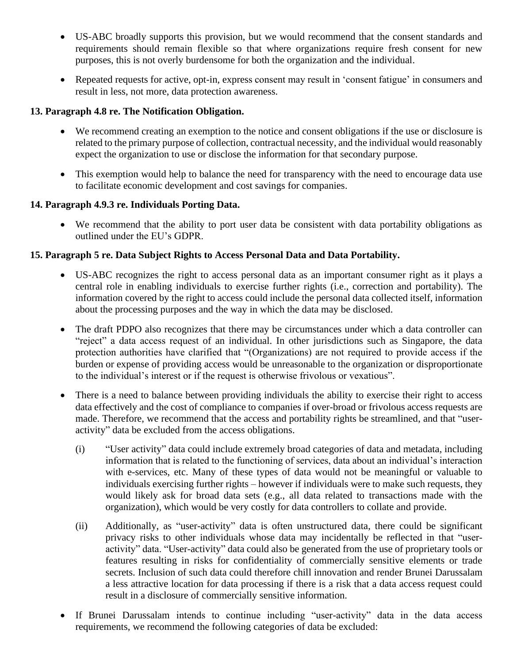- US-ABC broadly supports this provision, but we would recommend that the consent standards and requirements should remain flexible so that where organizations require fresh consent for new purposes, this is not overly burdensome for both the organization and the individual.
- Repeated requests for active, opt-in, express consent may result in 'consent fatigue' in consumers and result in less, not more, data protection awareness.

### **13. Paragraph 4.8 re. The Notification Obligation.**

- We recommend creating an exemption to the notice and consent obligations if the use or disclosure is related to the primary purpose of collection, contractual necessity, and the individual would reasonably expect the organization to use or disclose the information for that secondary purpose.
- This exemption would help to balance the need for transparency with the need to encourage data use to facilitate economic development and cost savings for companies.

### **14. Paragraph 4.9.3 re. Individuals Porting Data.**

• We recommend that the ability to port user data be consistent with data portability obligations as outlined under the EU's GDPR.

### **15. Paragraph 5 re. Data Subject Rights to Access Personal Data and Data Portability.**

- US-ABC recognizes the right to access personal data as an important consumer right as it plays a central role in enabling individuals to exercise further rights (i.e., correction and portability). The information covered by the right to access could include the personal data collected itself, information about the processing purposes and the way in which the data may be disclosed.
- The draft PDPO also recognizes that there may be circumstances under which a data controller can "reject" a data access request of an individual. In other jurisdictions such as Singapore, the data protection authorities have clarified that "(Organizations) are not required to provide access if the burden or expense of providing access would be unreasonable to the organization or disproportionate to the individual's interest or if the request is otherwise frivolous or vexatious".
- There is a need to balance between providing individuals the ability to exercise their right to access data effectively and the cost of compliance to companies if over-broad or frivolous access requests are made. Therefore, we recommend that the access and portability rights be streamlined, and that "useractivity" data be excluded from the access obligations.
	- (i) "User activity" data could include extremely broad categories of data and metadata, including information that is related to the functioning of services, data about an individual's interaction with e-services, etc. Many of these types of data would not be meaningful or valuable to individuals exercising further rights – however if individuals were to make such requests, they would likely ask for broad data sets (e.g., all data related to transactions made with the organization), which would be very costly for data controllers to collate and provide.
	- (ii) Additionally, as "user-activity" data is often unstructured data, there could be significant privacy risks to other individuals whose data may incidentally be reflected in that "useractivity" data. "User-activity" data could also be generated from the use of proprietary tools or features resulting in risks for confidentiality of commercially sensitive elements or trade secrets. Inclusion of such data could therefore chill innovation and render Brunei Darussalam a less attractive location for data processing if there is a risk that a data access request could result in a disclosure of commercially sensitive information.
- If Brunei Darussalam intends to continue including "user-activity" data in the data access requirements, we recommend the following categories of data be excluded: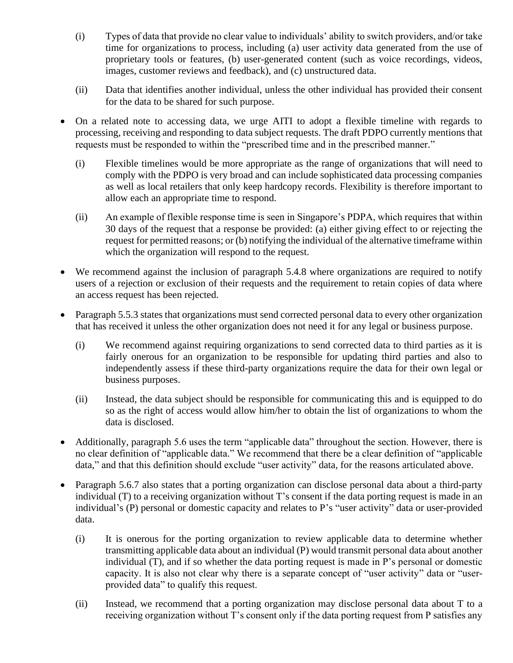- (i) Types of data that provide no clear value to individuals' ability to switch providers, and/or take time for organizations to process, including (a) user activity data generated from the use of proprietary tools or features, (b) user-generated content (such as voice recordings, videos, images, customer reviews and feedback), and (c) unstructured data.
- (ii) Data that identifies another individual, unless the other individual has provided their consent for the data to be shared for such purpose.
- On a related note to accessing data, we urge AITI to adopt a flexible timeline with regards to processing, receiving and responding to data subject requests. The draft PDPO currently mentions that requests must be responded to within the "prescribed time and in the prescribed manner."
	- (i) Flexible timelines would be more appropriate as the range of organizations that will need to comply with the PDPO is very broad and can include sophisticated data processing companies as well as local retailers that only keep hardcopy records. Flexibility is therefore important to allow each an appropriate time to respond.
	- (ii) An example of flexible response time is seen in Singapore's PDPA, which requires that within 30 days of the request that a response be provided: (a) either giving effect to or rejecting the request for permitted reasons; or (b) notifying the individual of the alternative timeframe within which the organization will respond to the request.
- We recommend against the inclusion of paragraph 5.4.8 where organizations are required to notify users of a rejection or exclusion of their requests and the requirement to retain copies of data where an access request has been rejected.
- Paragraph 5.5.3 states that organizations must send corrected personal data to every other organization that has received it unless the other organization does not need it for any legal or business purpose.
	- (i) We recommend against requiring organizations to send corrected data to third parties as it is fairly onerous for an organization to be responsible for updating third parties and also to independently assess if these third-party organizations require the data for their own legal or business purposes.
	- (ii) Instead, the data subject should be responsible for communicating this and is equipped to do so as the right of access would allow him/her to obtain the list of organizations to whom the data is disclosed.
- Additionally, paragraph 5.6 uses the term "applicable data" throughout the section. However, there is no clear definition of "applicable data." We recommend that there be a clear definition of "applicable data," and that this definition should exclude "user activity" data, for the reasons articulated above.
- Paragraph 5.6.7 also states that a porting organization can disclose personal data about a third-party individual (T) to a receiving organization without T's consent if the data porting request is made in an individual's (P) personal or domestic capacity and relates to P's "user activity" data or user-provided data.
	- (i) It is onerous for the porting organization to review applicable data to determine whether transmitting applicable data about an individual (P) would transmit personal data about another individual (T), and if so whether the data porting request is made in P's personal or domestic capacity. It is also not clear why there is a separate concept of "user activity" data or "userprovided data" to qualify this request.
	- (ii) Instead, we recommend that a porting organization may disclose personal data about T to a receiving organization without T's consent only if the data porting request from P satisfies any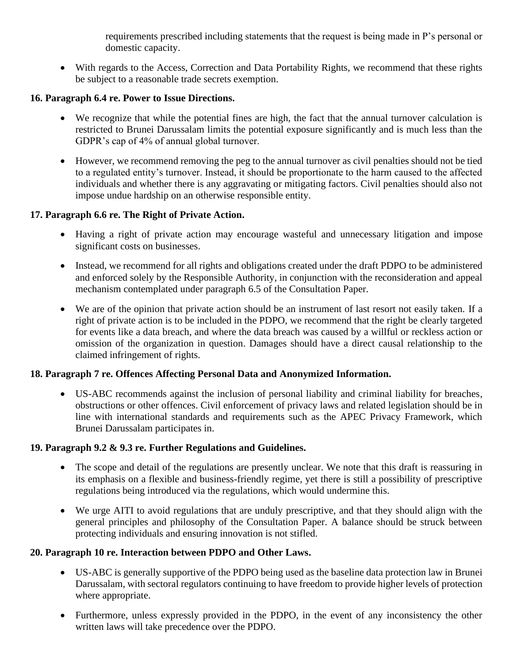requirements prescribed including statements that the request is being made in P's personal or domestic capacity.

• With regards to the Access, Correction and Data Portability Rights, we recommend that these rights be subject to a reasonable trade secrets exemption.

## **16. Paragraph 6.4 re. Power to Issue Directions.**

- We recognize that while the potential fines are high, the fact that the annual turnover calculation is restricted to Brunei Darussalam limits the potential exposure significantly and is much less than the GDPR's cap of 4% of annual global turnover.
- However, we recommend removing the peg to the annual turnover as civil penalties should not be tied to a regulated entity's turnover. Instead, it should be proportionate to the harm caused to the affected individuals and whether there is any aggravating or mitigating factors. Civil penalties should also not impose undue hardship on an otherwise responsible entity.

### **17. Paragraph 6.6 re. The Right of Private Action.**

- Having a right of private action may encourage wasteful and unnecessary litigation and impose significant costs on businesses.
- Instead, we recommend for all rights and obligations created under the draft PDPO to be administered and enforced solely by the Responsible Authority, in conjunction with the reconsideration and appeal mechanism contemplated under paragraph 6.5 of the Consultation Paper.
- We are of the opinion that private action should be an instrument of last resort not easily taken. If a right of private action is to be included in the PDPO, we recommend that the right be clearly targeted for events like a data breach, and where the data breach was caused by a willful or reckless action or omission of the organization in question. Damages should have a direct causal relationship to the claimed infringement of rights.

#### **18. Paragraph 7 re. Offences Affecting Personal Data and Anonymized Information.**

• US-ABC recommends against the inclusion of personal liability and criminal liability for breaches, obstructions or other offences. Civil enforcement of privacy laws and related legislation should be in line with international standards and requirements such as the APEC Privacy Framework, which Brunei Darussalam participates in.

#### **19. Paragraph 9.2 & 9.3 re. Further Regulations and Guidelines.**

- The scope and detail of the regulations are presently unclear. We note that this draft is reassuring in its emphasis on a flexible and business-friendly regime, yet there is still a possibility of prescriptive regulations being introduced via the regulations, which would undermine this.
- We urge AITI to avoid regulations that are unduly prescriptive, and that they should align with the general principles and philosophy of the Consultation Paper. A balance should be struck between protecting individuals and ensuring innovation is not stifled.

# **20. Paragraph 10 re. Interaction between PDPO and Other Laws.**

- US-ABC is generally supportive of the PDPO being used as the baseline data protection law in Brunei Darussalam, with sectoral regulators continuing to have freedom to provide higher levels of protection where appropriate.
- Furthermore, unless expressly provided in the PDPO, in the event of any inconsistency the other written laws will take precedence over the PDPO.